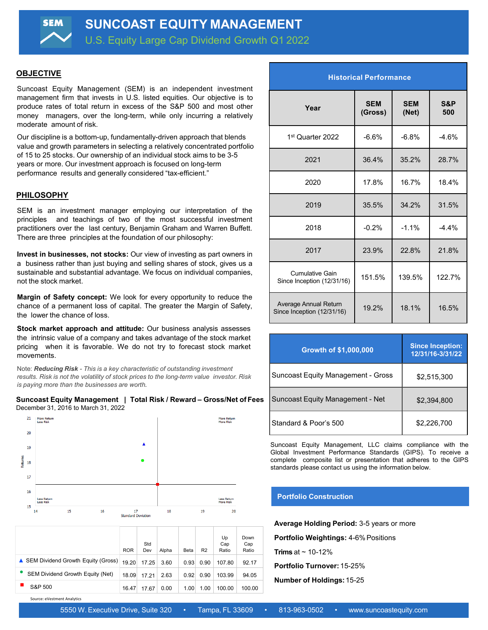U.S. Equity Large Cap Dividend Growth Q1 2022

## **OBJECTIVE**

**SEM** 

Suncoast Equity Management (SEM) is an independent investment management firm that invests in U.S. listed equities. Our objective is to produce rates of total return in excess of the S&P 500 and most other money managers, over the long-term, while only incurring a relatively moderate amount of risk.

Our discipline is a bottom-up, fundamentally-driven approach that blends value and growth parameters in selecting a relatively concentrated portfolio of 15 to 25 stocks. Our ownership of an individual stock aims to be 3-5 years or more. Our investment approach is focused on long-term performance results and generally considered "tax-efficient."

## **PHILOSOPHY**

SEM is an investment manager employing our interpretation of the principles and teachings of two of the most successful investment practitioners over the last century, Benjamin Graham and Warren Buffett. There are three principles at the foundation of our philosophy:

**Invest in businesses, not stocks:** Our view of investing as part owners in a business rather than just buying and selling shares of stock, gives us a sustainable and substantial advantage. We focus on individual companies, not the stock market.

**Margin of Safety concept:** We look for every opportunity to reduce the chance of a permanent loss of capital. The greater the Margin of Safety, the lower the chance of loss.

**Stock market approach and attitude:** Our business analysis assesses the intrinsic value of a company and takes advantage of the stock market pricing when it is favorable. We do not try to forecast stock market movements.

Note: *Reducing Risk - This is a key characteristic of outstanding investment results. Risk is not the volatility of stock prices to the long-term value investor. Risk is paying more than the businesses are worth.*

|                                     | Suncoast Equity Management   Total Risk / Reward – Gross/Net of Fees |
|-------------------------------------|----------------------------------------------------------------------|
| December 31, 2016 to March 31, 2022 |                                                                      |



|                                      | <b>ROR</b> | Std<br>Dev | Alpha | Beta | R <sub>2</sub> | Up<br>Cap<br>Ratio | Down<br>Cap<br>Ratio |
|--------------------------------------|------------|------------|-------|------|----------------|--------------------|----------------------|
| ▲ SEM Dividend Growth Equity (Gross) | 19.20      | 17.25      | 3.60  | 0.93 | 0.90           | 107.80             | 92.17                |
| SEM Dividend Growth Equity (Net)     | 18.09      | 17.21      | 2.63  | 0.92 | 0.90           | 103.99             | 94.05                |
| S&P 500                              | 16.47      | 17.67      | 0.00  | 1.00 | 1.00           | 100.00             | 100.00               |
|                                      |            |            |       |      |                |                    |                      |

| Year                                                | <b>SEM</b><br>(Gross) | <b>SEM</b><br>(Net) | <b>S&amp;P</b><br>500 |  |
|-----------------------------------------------------|-----------------------|---------------------|-----------------------|--|
| 1st Quarter 2022                                    | $-6.6%$               | $-6.8%$             | $-4.6%$               |  |
| 2021                                                | 36.4%                 | 35.2%               | 28.7%                 |  |
| 2020                                                | 17.8%                 | 16.7%               | 18.4%                 |  |
| 2019                                                | 35.5%                 | 34.2%               | 31.5%                 |  |
| 2018                                                | $-0.2%$               | $-1.1%$             | $-4.4%$               |  |
| 2017                                                | 23.9%                 | 22.8%               | 21.8%                 |  |
| Cumulative Gain<br>Since Inception (12/31/16)       | 151.5%                | 139.5%              | 122.7%                |  |
| Average Annual Return<br>Since Inception (12/31/16) | 19.2%                 | 18.1%               | 16.5%                 |  |

**Historical Performance**

| <b>Growth of \$1,000,000</b>              | <b>Since Inception:</b><br>12/31/16-3/31/22 |
|-------------------------------------------|---------------------------------------------|
| <b>Suncoast Equity Management - Gross</b> | \$2,515,300                                 |
| Suncoast Equity Management - Net          | \$2,394,800                                 |
| Standard & Poor's 500                     | \$2,226,700                                 |

Suncoast Equity Management, LLC claims compliance with the Global Investment Performance Standards (GIPS). To receive a complete composite list or presentation that adheres to the GIPS standards please contact us using the information below.

#### **Portfolio Construction**

**Average Holding Period:** 3-5 years or more **Portfolio Weightings:** 4-6%Positions **Trims** at  $\sim$  10-12%

**Portfolio Turnover:** 15-25%

**Number of Holdings:**15-25

Source: eVestment Analytics